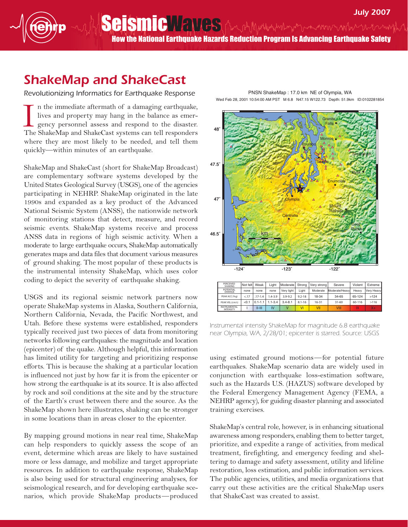Seismic Wayne July 2007 How the National Earthquake Hazards Reduction Program Is Advancing Earthquake Safety

## ShakeMap and ShakeCast

Revolutionizing Informatics for Earthquake Response

n the immediate aftermath of a damaging earthquake, lives and property may hang in the balance as emergency personnel assess and respond to the disaster. In the immediate aftermath of a damaging earthquake, lives and property may hang in the balance as emergency personnel assess and respond to the disaster.<br>The ShakeMap and ShakeCast systems can tell responders where they are most likely to be needed, and tell them quickly—within minutes of an earthquake.

ShakeMap and ShakeCast (short for ShakeMap Broadcast) are complementary software systems developed by the United States Geological Survey (USGS), one of the agencies participating in NEHRP. ShakeMap originated in the late 1990s and expanded as a key product of the Advanced National Seismic System (ANSS), the nationwide network of monitoring stations that detect, measure, and record seismic events. ShakeMap systems receive and process ANSS data in regions of high seismic activity. When a moderate to large earthquake occurs, ShakeMap automatically generates maps and data files that document various measures of ground shaking. The most popular of these products is the instrumental intensity ShakeMap, which uses color coding to depict the severity of earthquake shaking.

USGS and its regional seismic network partners now operate ShakeMap systems in Alaska, Southern California, Northern California, Nevada, the Pacific Northwest, and Utah. Before these systems were established, responders typically received just two pieces of data from monitoring networks following earthquakes: the magnitude and location (epicenter) of the quake. Although helpful, this information has limited utility for targeting and prioritizing response efforts. This is because the shaking at a particular location is influenced not just by how far it is from the epicenter or how strong the earthquake is at its source. It is also affected by rock and soil conditions at the site and by the structure of the Earth's crust between there and the source. As the ShakeMap shown here illustrates, shaking can be stronger in some locations than in areas closer to the epicenter.

By mapping ground motions in near real time, ShakeMap can help responders to quickly assess the scope of an event, determine which areas are likely to have sustained more or less damage, and mobilize and target appropriate resources. In addition to earthquake response, ShakeMap is also being used for structural engineering analyses, for seismological research, and for developing earthquake scenarios, which provide ShakeMap products—produced

-124˚ -123˚ -122˚ 46.5˚ 47˚ **Seattle** Skykomish Hyak **Goat** Rocks **Mount Rainier Monroe Enumclaw** Poulsbo **Olympia Centralia** 0 50 km

|  | PERCEIVED<br><b>SHAKING</b>             | Not felt | Weak        | Liaht       | Moderate    | Strong     | Very strong | Severe         | Violent | Extreme    |
|--|-----------------------------------------|----------|-------------|-------------|-------------|------------|-------------|----------------|---------|------------|
|  | <b>POTENTIAL</b><br><b>DAMAGE</b>       | none     | none        | none        | Very light  | Liaht      | Moderate    | Moderate/Heavy | Heavy   | Very Heavy |
|  | PEAK ACC.(%a)                           | < 17     | $.17 - 1.4$ | $.4 - 3.9$  | $3.9 - 9.2$ | $9.2 - 18$ | 18-34       | 34-65          | 65-124  | >124       |
|  | PEAK VEL.(cm/s)                         | < 0.1    | $0.1 - 1.1$ | $1.1 - 3.4$ | $3.4 - 8.1$ | $8.1 - 16$ | $16 - 31$   | $31 - 60$      | 60-116  | >116       |
|  | <b>INSTRUMENTAL</b><br><b>INTENSITY</b> |          | $II-HI$     | IV          |             |            | VII         | VIII           | IX      | $X +$      |

Instrumental intensity ShakeMap for magnitude 6.8 earthquake near Olympia, WA, 2/28/01; epicenter is starred. Source: USGS

using estimated ground motions—for potential future earthquakes. ShakeMap scenario data are widely used in conjunction with earthquake loss-estimation software, such as the Hazards U.S. (HAZUS) software developed by the Federal Emergency Management Agency (FEMA, a NEHRP agency), for guiding disaster planning and associated training exercises.

ShakeMap's central role, however, is in enhancing situational awareness among responders, enabling them to better target, prioritize, and expedite a range of activities, from medical treatment, firefighting, and emergency feeding and sheltering to damage and safety assessment, utility and lifeline restoration, loss estimation, and public information services. The public agencies, utilities, and media organizations that carry out these activities are the critical ShakeMap users that ShakeCast was created to assist.

PNSN ShakeMap : 17.0 km NE of Olympia, WA Wed Feb 28, 2001 10:54:00 AM PST M 6.8 N47.15 W122.73 Depth: 51.9km ID:0102281854